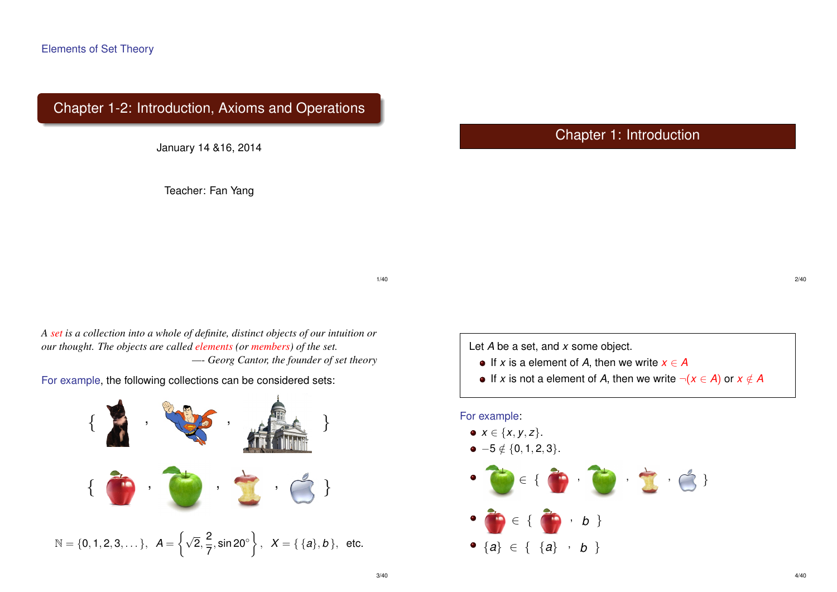# Chapter 1-2: Introduction, Axioms and Operations

January 14 &16, 2014

Teacher: Fan Yang

Chapter 1: Introduction

1/40

*A set is a collection into a whole of definite, distinct objects of our intuition or our thought. The objects are called elements (or members) of the set. —- Georg Cantor, the founder of set theory*

For example, the following collections can be considered sets:



Let *A* be a set, and *x* some object.

- $\bullet$  If *x* is a element of *A*, then we write  $x \in A$
- $\bullet$  If *x* is not a element of *A*, then we write  $\neg$  (*x* ∈ *A*) or *x* ∉ *A*

For example:  $x \in \{x, y, z\}.$  $-5 \notin \{0, 1, 2, 3\}.$  $\in \{$  $\Box$ ,  $\Box$ ,  $\Box$  $\in \{ \bullet\ \bullet\ \cdot\ \bullet\ \}$  ${a} \in { {a} \cdots b}$ 

2/40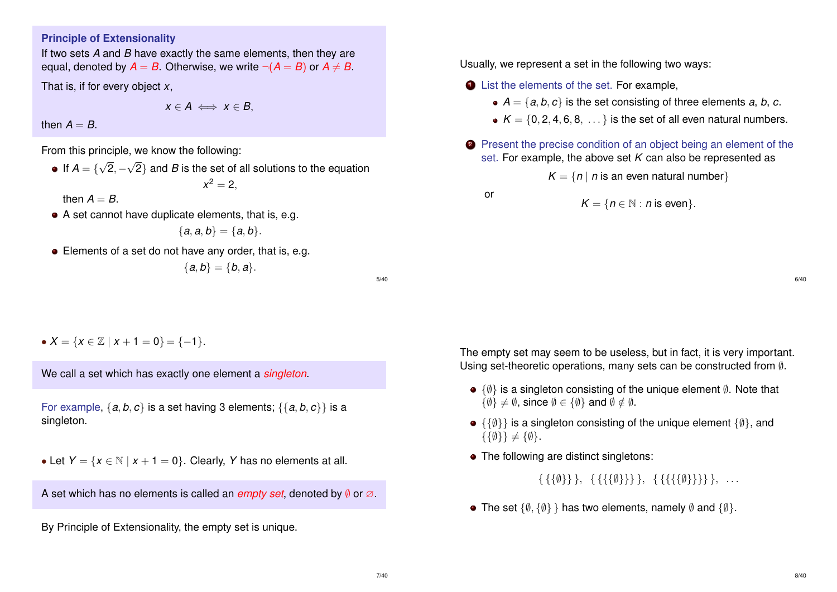#### **Principle of Extensionality**

If two sets *A* and *B* have exactly the same elements, then they are equal, denoted by  $A = B$ . Otherwise, we write  $\neg(A = B)$  or  $A \neq B$ .

That is, if for every object *x*,

$$
x\in A\iff x\in B,
$$

then  $A = B$ .

From this principle, we know the following:

If  $A = \{$ √ 2, − √ 2} and *B* is the set of all solutions to the equation  $x^2 = 2$ ,

then  $A = B$ .

A set cannot have duplicate elements, that is, e.g.

$$
\{a,a,b\}=\{a,b\}.
$$

• Elements of a set do not have any order, that is, e.g.

$$
\{a,b\}=\{b,a\}.
$$

5/40

•  $X = \{x \in \mathbb{Z} \mid x + 1 = 0\} = \{-1\}.$ 

We call a set which has exactly one element a *singleton*.

For example, {*a*, *b*, *c*} is a set having 3 elements; {{*a*, *b*, *c*}} is a singleton.

• Let  $Y = \{x \in \mathbb{N} \mid x + 1 = 0\}$ . Clearly, *Y* has no elements at all.

A set which has no elements is called an *empty set*, denoted by *≬* or ∅.

By Principle of Extensionality, the empty set is unique.

Usually, we represent a set in the following two ways:

- **1** List the elements of the set. For example,
	- $A = \{a, b, c\}$  is the set consisting of three elements *a*, *b*, *c*.
	- $K = \{0, 2, 4, 6, 8, \ldots\}$  is the set of all even natural numbers.
- **2** Present the precise condition of an object being an element of the set. For example, the above set *K* can also be represented as

 $K = \{n \mid n$  is an even natural number }

$$
K = \{n \in \mathbb{N} : n \text{ is even}\}.
$$

or

6/40

The empty set may seem to be useless, but in fact, it is very important. Using set-theoretic operations, many sets can be constructed from ∅.

- {∅} is a singleton consisting of the unique element ∅. Note that  $\{\emptyset\} \neq \emptyset$ , since  $\emptyset \in \{\emptyset\}$  and  $\emptyset \notin \emptyset$ .
- $\bullet$  {{ $\emptyset$ } is a singleton consisting of the unique element { $\emptyset$ }, and  $\{\{\emptyset\}\}\neq \{\emptyset\}.$
- The following are distinct singletons:

 $\{\{\{\emptyset\}\}\}, \{\{\{\{\{\emptyset\}\}\}\}\}, \ldots$ 

• The set  $\{\emptyset, \{\emptyset\}\}\$  has two elements, namely  $\emptyset$  and  $\{\emptyset\}$ .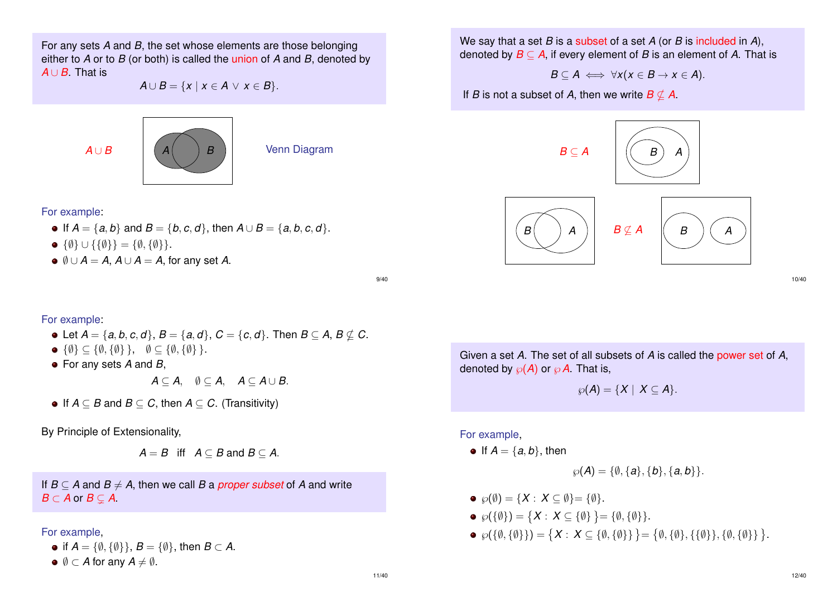For any sets *A* and *B*, the set whose elements are those belonging either to *A* or to *B* (or both) is called the union of *A* and *B*, denoted by *A* ∪ *B*. That is

 $A \cup B = \{x \mid x \in A \lor x \in B\}.$ 



For example:

- $\bullet$  If *A* = {*a*, *b*} and *B* = {*b*, *c*, *d*}, then *A* ∪ *B* = {*a*, *b*, *c*, *d*}.
- $\bullet \{\emptyset\} \cup \{\{\emptyset\}\} = \{\emptyset, \{\emptyset\}\}.$
- $\bullet \emptyset \cup A = A$ ,  $A \cup A = A$ , for any set A.

9/40

#### For example:

- $\bullet$  Let *A* = {*a*, *b*, *c*, *d*}, *B* = {*a*, *d*}, *C* = {*c*, *d*}. Then *B* ⊆ *A*, *B*  $\nsubseteq$  *C*.
- $\bullet \{\emptyset\} \subseteq \{\emptyset, \{\emptyset\}\}, \quad \emptyset \subseteq \{\emptyset, \{\emptyset\}\}.$
- For any sets *A* and *B*,

*A* ⊂ *A*,  $\emptyset$  ⊂ *A*,  $A$  ⊂  $A \cup B$ .

 $\bullet$  If *A* ⊂ *B* and *B* ⊂ *C*, then *A* ⊂ *C*. (Transitivity)

By Principle of Extensionality,

 $A = B$  iff  $A \subset B$  and  $B \subset A$ .

If  $B \subseteq A$  and  $B \neq A$ , then we call *B* a *proper subset* of *A* and write  $B \subset A$  or  $B \subset A$ .

#### For example,

- if  $A = \{\emptyset, \{\emptyset\}\}\$ ,  $B = \{\emptyset\}$ , then  $B \subset A$ .
- $\bullet \emptyset \subset A$  for any  $A \neq \emptyset$ .

We say that a set *B* is a subset of a set *A* (or *B* is included in *A*), denoted by  $B \subseteq A$ , if every element of *B* is an element of *A*. That is

$$
B\subseteq A \iff \forall x(x\in B\rightarrow x\in A).
$$

If *B* is not a subset of *A*, then we write  $B \nsubseteq A$ .



10/40

Given a set *A*. The set of all subsets of *A* is called the power set of *A*, denoted by  $\wp(A)$  or  $\wp A$ . That is,

$$
\wp(A)=\{X\mid X\subseteq A\}.
$$

For example,

• If  $A = \{a, b\}$ , then

$$
\wp(A) = \{\emptyset, \{a\}, \{b\}, \{a,b\}\}.
$$

- $\circ \varphi(\emptyset) = \{X : X \subseteq \emptyset\} = \{\emptyset\}.$
- $\wp({\{\emptyset\}}) = \{X : X \subseteq {\{\emptyset\}}\} = {\emptyset, {\{\emptyset\}}}.$
- $\wp(\{\emptyset,\{\emptyset\}\}) = \{X : X \subseteq \{\emptyset,\{\emptyset\}\}\} = \{\emptyset,\{\emptyset\},\{\{\emptyset\}\},\{\emptyset,\{\emptyset\}\}\}.$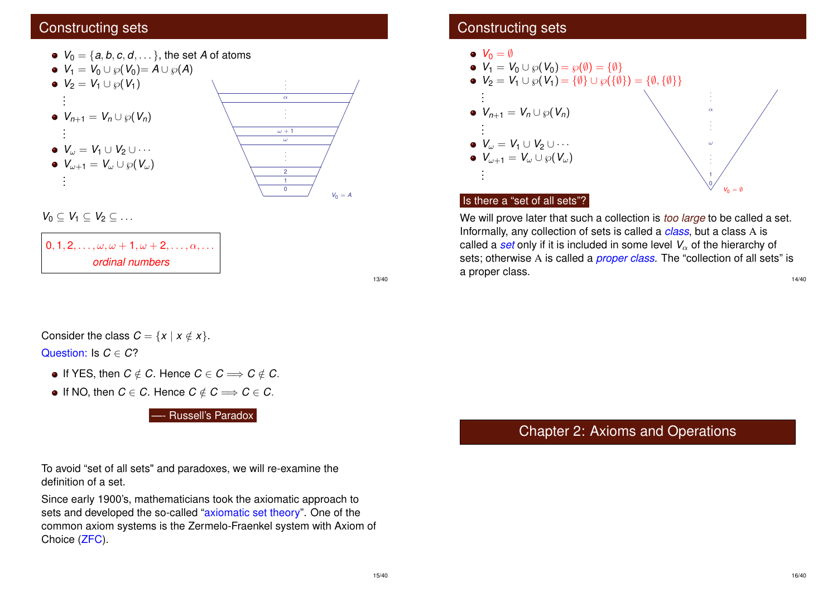# Constructing sets



 $0, 1, 2, \ldots, \omega, \omega + 1, \omega + 2, \ldots, \alpha, \ldots$ *ordinal numbers*

13/40

Consider the class 
$$
C = \{x \mid x \notin x\}
$$
.  
Question: Is  $C \in C$ ?

- $\bullet$  If YES, then *C* ∉ *C*. Hence *C* ∈ *C* ⇒ *C* ∉ *C*.
- $\bullet$  If NO, then *C* ∈ *C*. Hence *C* ∉ *C*  $\Rightarrow$  *C* ∈ *C*.

Russell's Paradox

To avoid "set of all sets" and paradoxes, we will re-examine the definition of a set.

Since early 1900's, mathematicians took the axiomatic approach to sets and developed the so-called "axiomatic set theory". One of the common axiom systems is the Zermelo-Fraenkel system with Axiom of Choice (ZFC).

# Constructing sets



# Is there a "set of all sets"?

We will prove later that such a collection is *too large* to be called a set. Informally, any collection of sets is called a *class*, but a class A is called a  $set$  only if it is included in some level  $V_\alpha$  of the hierarchy of sets; otherwise A is called a *proper class*. The "collection of all sets" is a proper class. 14/40

# Chapter 2: Axioms and Operations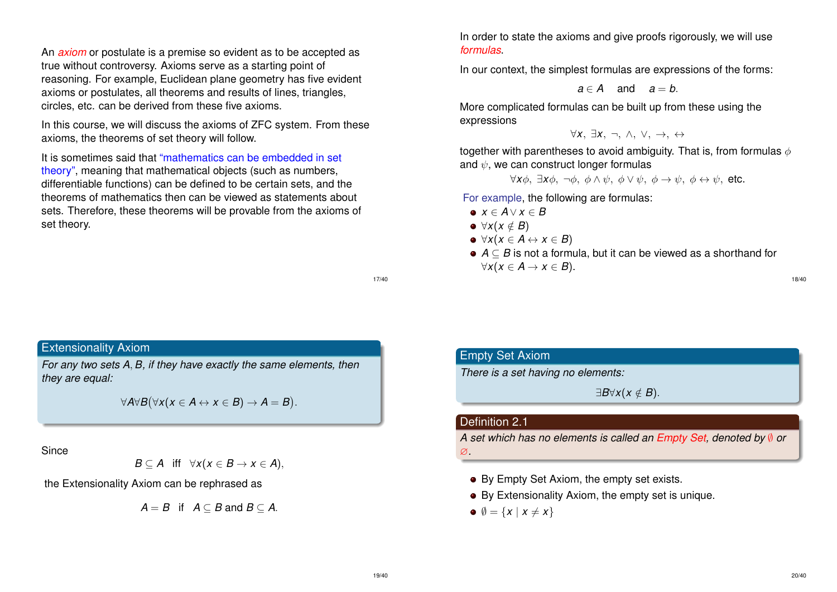An *axiom* or postulate is a premise so evident as to be accepted as true without controversy. Axioms serve as a starting point of reasoning. For example, Euclidean plane geometry has five evident axioms or postulates, all theorems and results of lines, triangles, circles, etc. can be derived from these five axioms.

In this course, we will discuss the axioms of ZFC system. From these axioms, the theorems of set theory will follow.

It is sometimes said that "mathematics can be embedded in set theory", meaning that mathematical objects (such as numbers, differentiable functions) can be defined to be certain sets, and the theorems of mathematics then can be viewed as statements about sets. Therefore, these theorems will be provable from the axioms of set theory.

Extensionality Axiom

*For any two sets A*, *B, if they have exactly the same elements, then they are equal:*

 $\forall A \forall B (\forall x (x \in A \leftrightarrow x \in B) \rightarrow A = B).$ 

**Since** 

$$
B\subseteq A \quad \text{iff} \quad \forall x(x\in B\rightarrow x\in A),
$$

the Extensionality Axiom can be rephrased as

$$
A=B \text{ if } A\subseteq B \text{ and } B\subseteq A.
$$

In order to state the axioms and give proofs rigorously, we will use *formulas*.

In our context, the simplest formulas are expressions of the forms:

$$
a\in A \quad \text{and} \quad a=b.
$$

More complicated formulas can be built up from these using the expressions

$$
\forall x, \; \exists x, \; \neg, \; \wedge, \; \vee, \; \rightarrow, \; \leftrightarrow
$$

together with parentheses to avoid ambiguity. That is, from formulas  $\phi$ and  $\psi$ , we can construct longer formulas

 $\forall x\phi$ ,  $\exists x\phi$ ,  $\neg \phi$ ,  $\phi \land \psi$ ,  $\phi \lor \psi$ ,  $\phi \rightarrow \psi$ ,  $\phi \leftrightarrow \psi$ , etc.

For example, the following are formulas:

- *x* ∈ *A*∨ *x* ∈ *B*
- $\bullet \forall x (x \notin B)$
- $\bullet \forall x (x \in A \leftrightarrow x \in B)$
- *A* ⊆ *B* is not a formula, but it can be viewed as a shorthand for  $∀x(x ∈ A → x ∈ B).$

17/40

# Empty Set Axiom

*There is a set having no elements:*

 $∃B∀x(x ∉ B)$ .

#### Definition 2.1

*A set which has no elements is called an Empty Set, denoted by* ∅ *or*

- ∅*.*
- By Empty Set Axiom, the empty set exists.
- By Extensionality Axiom, the empty set is unique.
- $\emptyset = \{x \mid x \neq x\}$

18/40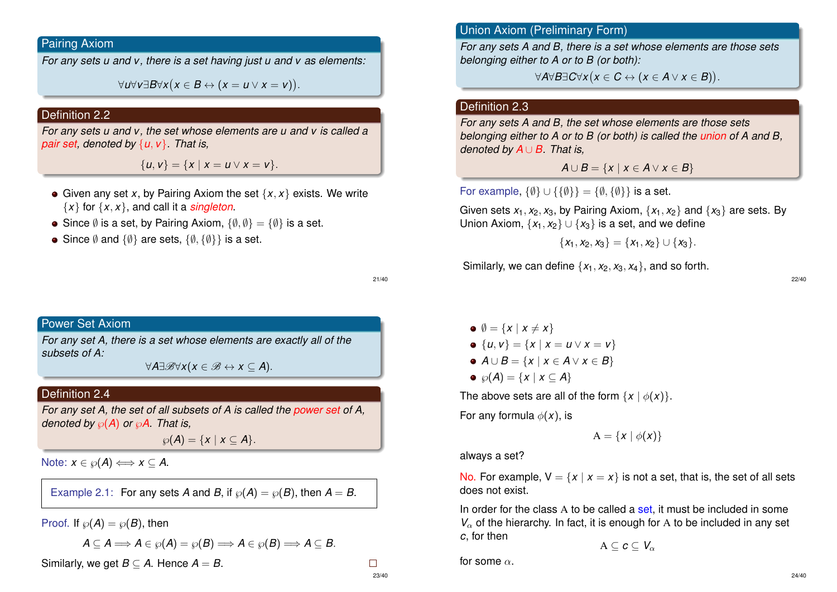# Pairing Axiom

*For any sets u and v, there is a set having just u and v as elements:*

∀*u*∀*v*∃*B*∀*x x* ∈ *B* ↔ (*x* = *u* ∨ *x* = *v*) .

### Definition 2.2

*For any sets u and v, the set whose elements are u and v is called a pair set, denoted by* {*u*, *v*}*. That is,*

 ${u, v} = {x | x = u \vee x = v}.$ 

- Given any set *x*, by Pairing Axiom the set  $\{x, x\}$  exists. We write  ${x}$  for  ${x, x}$ , and call it a *singleton*.
- Since  $\emptyset$  is a set, by Pairing Axiom,  $\{\emptyset, \emptyset\} = \{\emptyset\}$  is a set.
- Since  $\emptyset$  and  $\{\emptyset\}$  are sets,  $\{\emptyset, \{\emptyset\}\}\$ is a set.

21/40

## Power Set Axiom

*For any set A, there is a set whose elements are exactly all of the subsets of A:*

 $\forall$ *A*∃ $\mathscr{B}\forall$ *x*(*x* ∈  $\mathscr{B} \leftrightarrow$  *x* ⊂ *A*).

# Definition 2.4

*For any set A, the set of all subsets of A is called the power set of A, denoted by*  $\wp(A)$  *or*  $\wp A$ *. That is,* 

 $\wp(A) = \{x \mid x \subseteq A\}.$ 

Note:  $x \in \mathcal{P}(A) \Longleftrightarrow x \subseteq A$ .

Example 2.1: For any sets *A* and *B*, if  $\wp(A) = \wp(B)$ , then  $A = B$ .

Proof. If  $\wp(A) = \wp(B)$ , then

$$
A\subseteq A\Longrightarrow A\in \wp(A)=\wp(B)\Longrightarrow A\in \wp(B)\Longrightarrow A\subseteq B.
$$

Similarly, we get  $B \subset A$ . Hence  $A = B$ .

 $\Box$ 

23/40

Union Axiom (Preliminary Form)

*For any sets A and B, there is a set whose elements are those sets belonging either to A or to B (or both):*

∀*A*∀*B*∃*C*∀*x x* ∈ *C* ↔ (*x* ∈ *A* ∨ *x* ∈ *B*) .

# Definition 2.3

*For any sets A and B, the set whose elements are those sets belonging either to A or to B (or both) is called the union of A and B, denoted by A* ∪ *B. That is,*

$$
A \cup B = \{x \mid x \in A \lor x \in B\}
$$

For example,  $\{\emptyset\} \cup \{\{\emptyset\}\} = \{\emptyset, \{\emptyset\}\}\$ is a set.

Given sets  $x_1, x_2, x_3$ , by Pairing Axiom,  $\{x_1, x_2\}$  and  $\{x_3\}$  are sets. By Union Axiom,  $\{x_1, x_2\} \cup \{x_3\}$  is a set, and we define

$$
\{x_1, x_2, x_3\} = \{x_1, x_2\} \cup \{x_3\}.
$$

Similarly, we can define  $\{x_1, x_2, x_3, x_4\}$ , and so forth.

22/40

 $\emptyset$  = {*x* | *x*  $\neq$  *x*}  $\bullet$  {*u*, *v*} = {*x* | *x* = *u*  $\vee$  *x* = *v*}  $\bullet$  *A* ∪ *B* = {*x* | *x* ∈ *A* ∨ *x* ∈ *B*}  $\circ$   $\wp(A) = \{x \mid x \subseteq A\}$ 

The above sets are all of the form  $\{x \mid \phi(x)\}.$ 

For any formula  $\phi(x)$ , is

$$
A = \{x \mid \phi(x)\}\
$$

always a set?

No. For example,  $V = \{x \mid x = x\}$  is not a set, that is, the set of all sets does not exist.

In order for the class A to be called a set, it must be included in some  $V_\alpha$  of the hierarchy. In fact, it is enough for A to be included in any set *c*, for then

 $A \subseteq c \subseteq V_{\alpha}$ 

for some  $\alpha$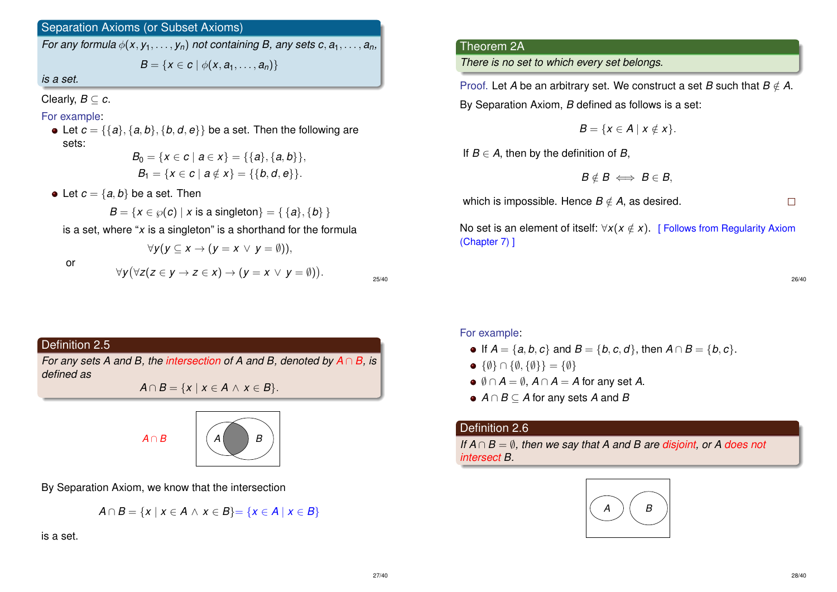# Separation Axioms (or Subset Axioms)

*For any formula*  $\phi$ (*x*,  $y_1, \ldots, y_n$ ) *not containing B, any sets c, a*<sub>1</sub>, ..., *a*<sub>*n*</sub>

*B* = { $x \in c \mid \phi(x, a_1, \ldots, a_n)$ }

*is a set.*

Clearly,  $B \subseteq c$ .

# For example:

• Let  $c = \{\{a\}, \{a, b\}, \{b, d, e\}\}$  be a set. Then the following are sets:

 $B_0 = \{x \in c \mid a \in x\} = \{\{a\}, \{a, b\}\},\$  $B_1 = \{x \in c \mid a \notin x\} = \{\{b, d, e\}\}.$ 

• Let  $c = \{a, b\}$  be a set. Then

$$
B = \{x \in \wp(c) \mid x \text{ is a singleton}\} = \{\{a\}, \{b\}\}
$$

is a set, where "*x* is a singleton" is a shorthand for the formula

or

$$
\forall y(y \subseteq x \to (y = x \lor y = \emptyset)),
$$
  

$$
\forall y(\forall z(z \in y \to z \in x) \to (y = x \lor y = \emptyset)).
$$

25/40

# Definition 2.5

*For any sets A and B, the intersection of A and B, denoted by A* ∩ *B, is defined as*

 $A \cap B = \{x \mid x \in A \land x \in B\}.$ 





By Separation Axiom, we know that the intersection

$$
A \cap B = \{x \mid x \in A \land x \in B\} = \{x \in A \mid x \in B\}
$$

is a set.

# Theorem 2A

*There is no set to which every set belongs.*

Proof. Let *A* be an arbitrary set. We construct a set *B* such that  $B \notin A$ .

By Separation Axiom, *B* defined as follows is a set:

 $B = \{x \in A \mid x \notin x\}.$ 

If  $B \in A$ , then by the definition of  $B$ ,

$$
B \notin B \iff B \in B,
$$

which is impossible. Hence  $B \notin A$ , as desired.

 $\Box$ 

No set is an element of itself:  $\forall x (x \notin x)$ . [ Follows from Regularity Axiom (Chapter 7) ]

26/40

### For example:

- $\bullet$  If *A* = {*a*, *b*, *c*} and *B* = {*b*, *c*, *d*}, then *A* ∩ *B* = {*b*, *c*}.
- $\bullet \{\emptyset\} \cap \{\emptyset, \{\emptyset\}\} = \{\emptyset\}$
- $\bullet$   $\emptyset \cap A = \emptyset$ ,  $A \cap A = A$  for any set A.
- *A* ∩ *B* ⊆ *A* for any sets *A* and *B*

### Definition 2.6

*If*  $A ∩ B = ∅$ *, then we say that A and B are disjoint, or A does not intersect B.*

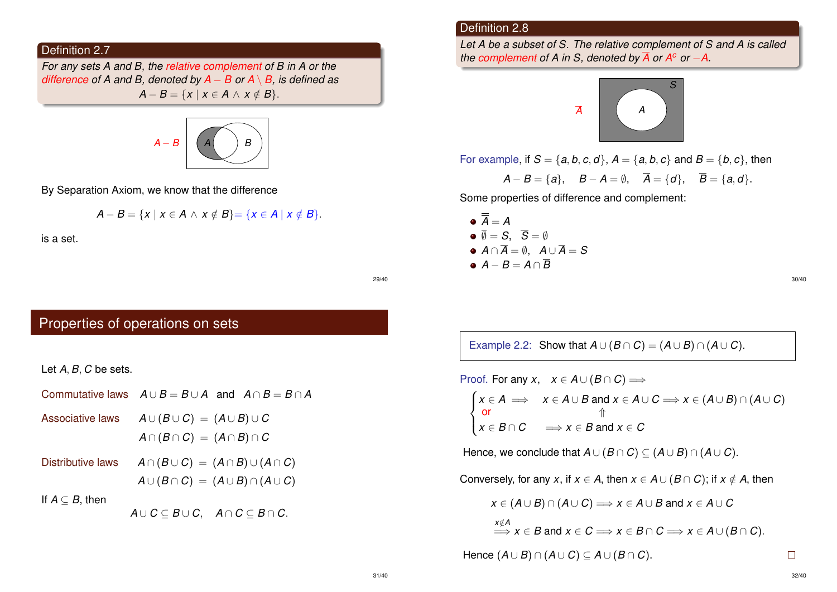# Definition 2.7

*For any sets A and B, the relative complement of B in A or the difference of A and B, denoted by A* − *B or A* \ *B, is defined as*  $A - B = \{x \mid x \in A \land x \notin B\}.$ 



By Separation Axiom, we know that the difference

$$
A-B=\{x\mid x\in A\,\wedge\,x\notin B\}=\{x\in A\mid x\notin B\}.
$$

is a set.

#### Definition 2.8

*Let A be a subset of S. The relative complement of S and A is called the complement of A in S, denoted by*  $\overline{A}$  *or A<sup>c</sup> or -A.* 



For example, if  $S = \{a, b, c, d\}, A = \{a, b, c\}$  and  $B = \{b, c\},$  then

$$
A - B = \{a\}, \quad B - A = \emptyset, \quad \overline{A} = \{d\}, \quad \overline{B} = \{a, d\}.
$$

Some properties of difference and complement:

\n- $$
\overline{A} = A
$$
\n- $\overline{\emptyset} = S$ ,  $\overline{S} = \emptyset$
\n- $A \cap \overline{A} = \emptyset$ ,  $A \cup \overline{A} = S$
\n- $A - B = A \cap \overline{B}$
\n

30/40

Example 2.2: Show that  $A \cup (B \cap C) = (A \cup B) \cap (A \cup C)$ .

Proof. For any 
$$
x, x \in A \cup (B \cap C) \implies
$$
  
\n
$$
\begin{cases}\nx \in A \implies x \in A \cup B \text{ and } x \in A \cup C \implies x \in (A \cup B) \cap (A \cup C) \\
\text{or} \\
x \in B \cap C \implies x \in B \text{ and } x \in C\n\end{cases}
$$

Hence, we conclude that  $A \cup (B \cap C) \subseteq (A \cup B) \cap (A \cup C)$ .

Conversely, for any *x*, if  $x \in A$ , then  $x \in A \cup (B \cap C)$ ; if  $x \notin A$ , then

$$
x \in (A \cup B) \cap (A \cup C) \Longrightarrow x \in A \cup B \text{ and } x \in A \cup C
$$
  

$$
\xrightarrow{x \notin A} x \in B \text{ and } x \in C \Longrightarrow x \in B \cap C \Longrightarrow x \in A \cup (B \cap C).
$$

Hence  $(A \cup B) \cap (A \cup C) \subseteq A \cup (B \cap C)$ .

29/40

# Properties of operations on sets

Let *A*, *B*, *C* be sets.

- Commutative laws  $A \cup B = B \cup A$  and  $A \cap B = B \cap A$
- Associative laws  $A \cup (B \cup C) = (A \cup B) \cup C$  $A \cap (B \cap C) = (A \cap B) \cap C$
- Distributive laws  $A \cap (B \cup C) = (A \cap B) \cup (A \cap C)$  $A \cup (B \cap C) = (A \cup B) \cap (A \cup C)$

If  $A \subseteq B$ , then

*A* ∪  $C \subseteq B \cup C$ ,  $A \cap C \subseteq B \cap C$ .

 $\Box$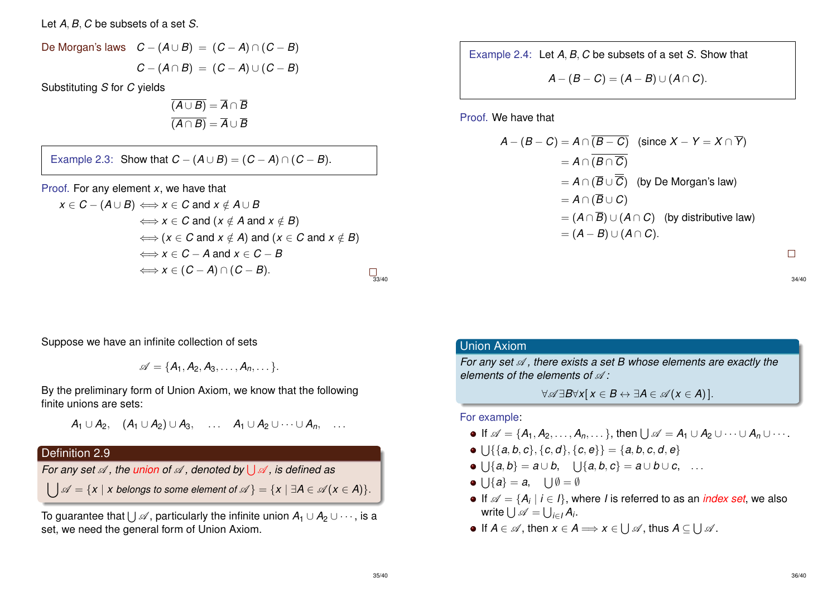Let *A*, *B*, *C* be subsets of a set *S*.

De Morgan's laws 
$$
C - (A \cup B) = (C - A) \cap (C - B)
$$
  

$$
C - (A \cap B) = (C - A) \cup (C - B)
$$

Substituting *S* for *C* yields

$$
\overline{(A \cup B)} = \overline{A} \cap \overline{B}
$$

$$
\overline{(A \cap B)} = \overline{A} \cup \overline{B}
$$

Example 2.3: Show that  $C - (A \cup B) = (C - A) \cap (C - B)$ .

Proof. For any element *x*, we have that

$$
x \in C - (A \cup B) \iff x \in C \text{ and } x \notin A \cup B
$$
  
\n
$$
\iff x \in C \text{ and } (x \notin A \text{ and } x \notin B)
$$
  
\n
$$
\iff (x \in C \text{ and } x \notin A) \text{ and } (x \in C \text{ and } x \notin B)
$$
  
\n
$$
\iff x \in C - A \text{ and } x \in C - B
$$
  
\n
$$
\iff x \in (C - A) \cap (C - B).
$$

Example 2.4: Let *A*, *B*, *C* be subsets of a set *S*. Show that

$$
A-(B-C)=(A-B)\cup (A\cap C).
$$

Proof. We have that

$$
A - (B - C) = A \cap \overline{(B - C)} \quad \text{(since } X - Y = X \cap \overline{Y})
$$
\n
$$
= A \cap \overline{(B \cap \overline{C})}
$$
\n
$$
= A \cap (\overline{B} \cup \overline{C}) \quad \text{(by De Morgan's law)}
$$
\n
$$
= A \cap (\overline{B} \cup C)
$$
\n
$$
= (A \cap \overline{B}) \cup (A \cap C) \quad \text{(by distributive law)}
$$
\n
$$
= (A - B) \cup (A \cap C).
$$

 $\Box$ 

34/40

Suppose we have an infinite collection of sets

$$
\mathscr{A} = \{A_1, A_2, A_3, \ldots, A_n, \ldots\}.
$$

By the preliminary form of Union Axiom, we know that the following finite unions are sets:

$$
A_1 \cup A_2, \quad (A_1 \cup A_2) \cup A_3, \quad \ldots \quad A_1 \cup A_2 \cup \cdots \cup A_n, \quad \ldots
$$

## Definition 2.9

*For any set*  $\mathscr A$  *, the union of*  $\mathscr A$  *, denoted by*  $\bigcup\mathscr A$  *, is defined as* 

 $\bigcup \mathscr{A} = \{x \mid x \text{ belongs to some element of } \mathscr{A}\} = \{x \mid \exists A \in \mathscr{A} (x \in A)\}.$ 

To guarantee that  $\bigcup\mathscr{A},$  particularly the infinite union  $\mathcal{A}_1\cup\mathcal{A}_2\cup\cdots,$  is a set, we need the general form of Union Axiom.

# Union Axiom

*For any set*  $\mathcal A$ , there exists a set B whose elements are exactly the *elements of the elements of*  $\mathcal{A}$ 

 $\forall \mathscr{A} \exists B \forall x \, \vert \, x \in B \leftrightarrow \exists A \in \mathscr{A} \, \vert \, x \in A$ ) ].

#### For example:

- If  $\mathscr{A} = \{A_1, A_2, \ldots, A_n, \ldots\}$ , then  $\bigcup \mathscr{A} = A_1 \cup A_2 \cup \cdots \cup A_n \cup \cdots$ .
- $\bigcup \{ \{a, b, c\}, \{c, d\}, \{c, e\} \} = \{a, b, c, d, e\}$
- $\bigcup\{a,b\} = a \cup b, \quad \bigcup\{a,b,c\} = a \cup b \cup c, \quad \dots$
- $\bigcup \{a\} = a, \quad \bigcup \emptyset = \emptyset$
- If  $\mathscr{A} = \{A_i \mid i \in I\}$ , where *I* is referred to as an *index set*, we also write  $\bigcup \mathscr{A} = \bigcup_{i \in I} A_i$ .
- If  $A \in \mathscr{A}$ , then  $x \in A \Longrightarrow x \in \bigcup \mathscr{A}$ , thus  $A \subseteq \bigcup \mathscr{A}$ .